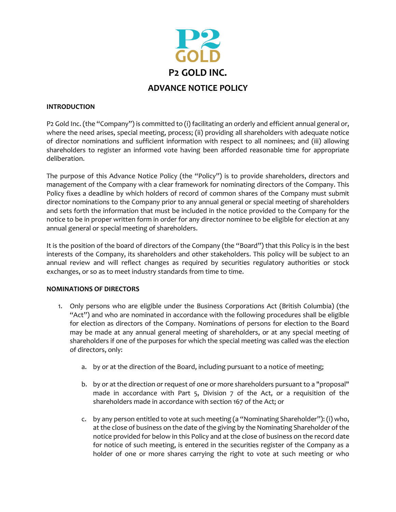

## **INTRODUCTION**

P2 Gold Inc. (the "Company") is committed to (i) facilitating an orderly and efficient annual general or, where the need arises, special meeting, process; (ii) providing all shareholders with adequate notice of director nominations and sufficient information with respect to all nominees; and (iii) allowing shareholders to register an informed vote having been afforded reasonable time for appropriate deliberation.

The purpose of this Advance Notice Policy (the "Policy") is to provide shareholders, directors and management of the Company with a clear framework for nominating directors of the Company. This Policy fixes a deadline by which holders of record of common shares of the Company must submit director nominations to the Company prior to any annual general or special meeting of shareholders and sets forth the information that must be included in the notice provided to the Company for the notice to be in proper written form in order for any director nominee to be eligible for election at any annual general or special meeting of shareholders.

It is the position of the board of directors of the Company (the "Board") that this Policy is in the best interests of the Company, its shareholders and other stakeholders. This policy will be subject to an annual review and will reflect changes as required by securities regulatory authorities or stock exchanges, or so as to meet industry standards from time to time.

## **NOMINATIONS OF DIRECTORS**

- 1. Only persons who are eligible under the Business Corporations Act (British Columbia) (the "Act") and who are nominated in accordance with the following procedures shall be eligible for election as directors of the Company. Nominations of persons for election to the Board may be made at any annual general meeting of shareholders, or at any special meeting of shareholders if one of the purposes for which the special meeting was called was the election of directors, only:
	- a. by or at the direction of the Board, including pursuant to a notice of meeting;
	- b. by or at the direction or request of one or more shareholders pursuant to a "proposal" made in accordance with Part 5, Division 7 of the Act, or a requisition of the shareholders made in accordance with section 167 of the Act; or
	- c. by any person entitled to vote at such meeting (a "Nominating Shareholder"): (i) who, at the close of business on the date of the giving by the Nominating Shareholder of the notice provided for below in this Policy and at the close of business on the record date for notice of such meeting, is entered in the securities register of the Company as a holder of one or more shares carrying the right to vote at such meeting or who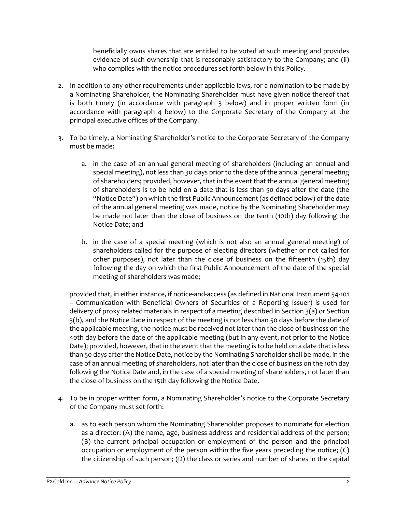beneficially owns shares that are entitled to be voted at such meeting and provides evidence of such ownership that is reasonably satisfactory to the Company; and (ii) who complies with the notice procedures set forth below in this Policy.

- 2. In addition to any other requirements under applicable laws, for a nomination to be made by a Nominating Shareholder, the Nominating Shareholder must have given notice thereof that is both timely (in accordance with paragraph 3 below) and in proper written form (in accordance with paragraph 4 below) to the Corporate Secretary of the Company at the principal executive offices of the Company.
- 3. To be timely, a Nominating Shareholder's notice to the Corporate Secretary of the Company must be made:
	- a. in the case of an annual general meeting of shareholders (including an annual and special meeting), not less than 30 days prior to the date of the annual general meeting of shareholders; provided, however, that in the event that the annual general meeting of shareholders is to be held on a date that is less than 50 days after the date (the "Notice Date") on which the first Public Announcement (as defined below) of the date of the annual general meeting was made, notice by the Nominating Shareholder may be made not later than the close of business on the tenth (10th) day following the Notice Date; and
	- b. in the case of a special meeting (which is not also an annual general meeting) of shareholders called for the purpose of electing directors (whether or not called for other purposes), not later than the close of business on the fifteenth (15th) day following the day on which the first Public Announcement of the date of the special meeting of shareholders was made;

provided that, in either instance, if notice-and-access (as defined in National Instrument 54-101 – Communication with Beneficial Owners of Securities of a Reporting Issuer) is used for delivery of proxy related materials in respect of a meeting described in Section 3(a) or Section 3(b), and the Notice Date in respect of the meeting is not less than 50 days before the date of the applicable meeting, the notice must be received not later than the close of business on the 40th day before the date of the applicable meeting (but in any event, not prior to the Notice Date); provided, however, that in the event that the meeting is to be held on a date that is less than 50 days after the Notice Date, notice by the Nominating Shareholder shall be made, in the case of an annual meeting of shareholders, not later than the close of business on the 10th day following the Notice Date and, in the case of a special meeting of shareholders, not later than the close of business on the 15th day following the Notice Date.

- 4. To be in proper written form, a Nominating Shareholder's notice to the Corporate Secretary of the Company must set forth:
	- a. as to each person whom the Nominating Shareholder proposes to nominate for election as a director: (A) the name, age, business address and residential address of the person; (B) the current principal occupation or employment of the person and the principal occupation or employment of the person within the five years preceding the notice; (C) the citizenship of such person; (D) the class or series and number of shares in the capital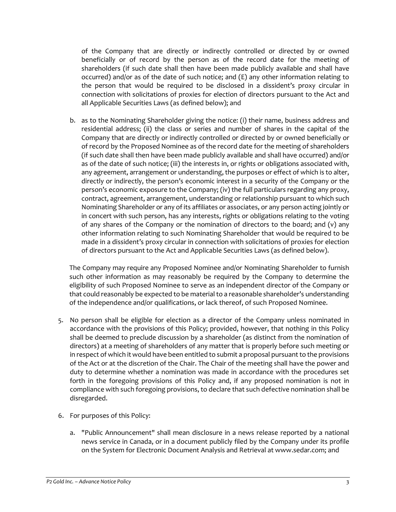of the Company that are directly or indirectly controlled or directed by or owned beneficially or of record by the person as of the record date for the meeting of shareholders (if such date shall then have been made publicly available and shall have occurred) and/or as of the date of such notice; and (E) any other information relating to the person that would be required to be disclosed in a dissident's proxy circular in connection with solicitations of proxies for election of directors pursuant to the Act and all Applicable Securities Laws (as defined below); and

b. as to the Nominating Shareholder giving the notice: (i) their name, business address and residential address; (ii) the class or series and number of shares in the capital of the Company that are directly or indirectly controlled or directed by or owned beneficially or of record by the Proposed Nominee as of the record date for the meeting of shareholders (if such date shall then have been made publicly available and shall have occurred) and/or as of the date of such notice; (iii) the interests in, or rights or obligations associated with, any agreement, arrangement or understanding, the purposes or effect of which is to alter, directly or indirectly, the person's economic interest in a security of the Company or the person's economic exposure to the Company; (iv) the full particulars regarding any proxy, contract, agreement, arrangement, understanding or relationship pursuant to which such Nominating Shareholder or any of its affiliates or associates, or any person acting jointly or in concert with such person, has any interests, rights or obligations relating to the voting of any shares of the Company or the nomination of directors to the board; and  $(v)$  any other information relating to such Nominating Shareholder that would be required to be made in a dissident's proxy circular in connection with solicitations of proxies for election of directors pursuant to the Act and Applicable Securities Laws (as defined below).

The Company may require any Proposed Nominee and/or Nominating Shareholder to furnish such other information as may reasonably be required by the Company to determine the eligibility of such Proposed Nominee to serve as an independent director of the Company or that could reasonably be expected to be material to a reasonable shareholder's understanding of the independence and/or qualifications, or lack thereof, of such Proposed Nominee.

- 5. No person shall be eligible for election as a director of the Company unless nominated in accordance with the provisions of this Policy; provided, however, that nothing in this Policy shall be deemed to preclude discussion by a shareholder (as distinct from the nomination of directors) at a meeting of shareholders of any matter that is properly before such meeting or in respect of which it would have been entitled to submit a proposal pursuant to the provisions of the Act or at the discretion of the Chair. The Chair of the meeting shall have the power and duty to determine whether a nomination was made in accordance with the procedures set forth in the foregoing provisions of this Policy and, if any proposed nomination is not in compliance with such foregoing provisions, to declare that such defective nomination shall be disregarded.
- 6. For purposes of this Policy:
	- a. "Public Announcement" shall mean disclosure in a news release reported by a national news service in Canada, or in a document publicly filed by the Company under its profile on the System for Electronic Document Analysis and Retrieval at www.sedar.com; and